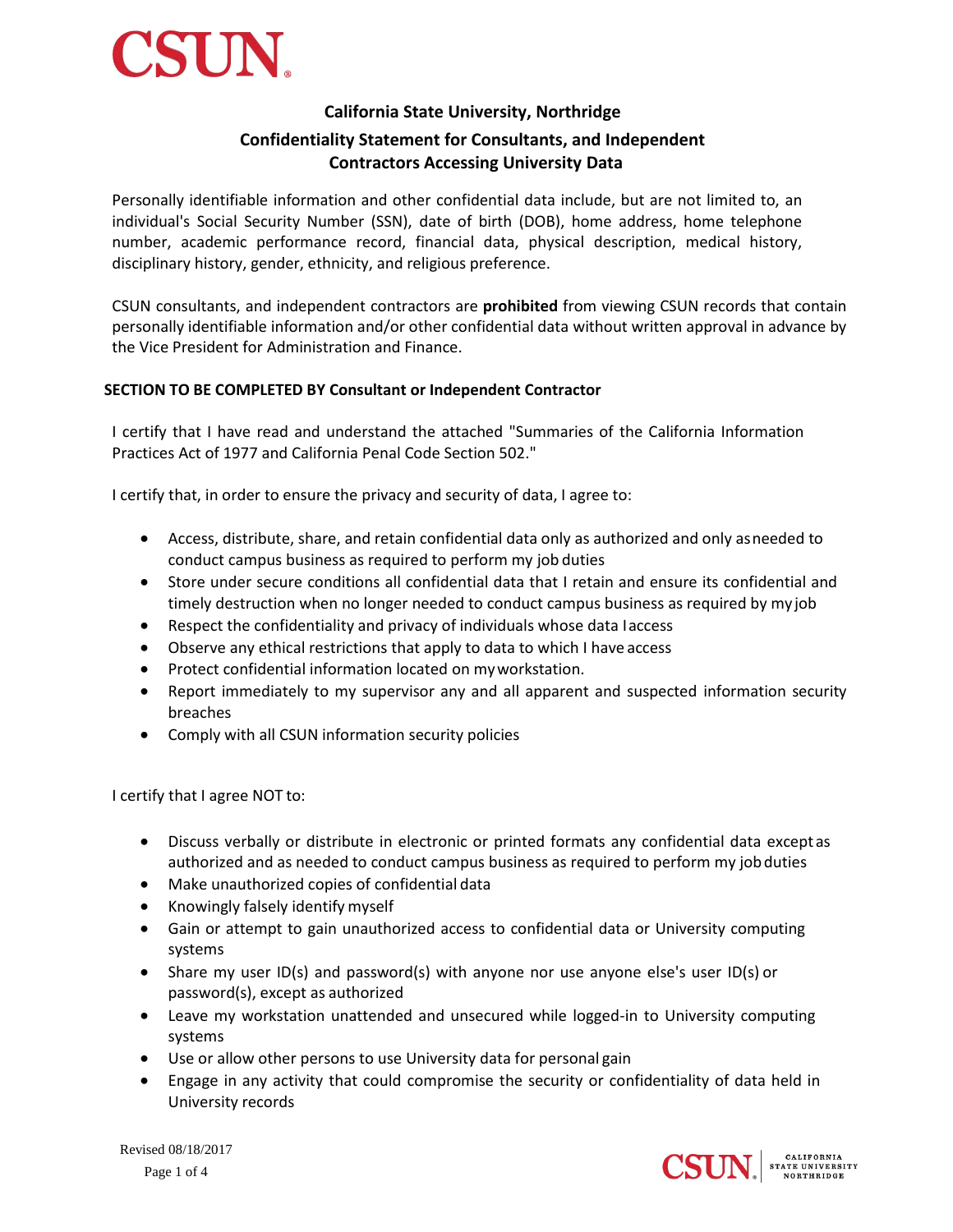

# **California State University, Northridge**

# **Confidentiality Statement for Consultants, and Independent Contractors Accessing University Data**

Personally identifiable information and other confidential data include, but are not limited to, an individual's Social Security Number (SSN), date of birth (DOB), home address, home telephone number, academic performance record, financial data, physical description, medical history, disciplinary history, gender, ethnicity, and religious preference.

CSUN consultants, and independent contractors are **prohibited** from viewing CSUN records that contain personally identifiable information and/or other confidential data without written approval in advance by the Vice President for Administration and Finance.

# **SECTION TO BE COMPLETED BY Consultant or Independent Contractor**

I certify that I have read and understand the attached "Summaries of the California Information Practices Act of 1977 and California Penal Code Section 502."

I certify that, in order to ensure the privacy and security of data, I agree to:

- Access, distribute, share, and retain confidential data only as authorized and only asneeded to conduct campus business as required to perform my job duties
- Store under secure conditions all confidential data that I retain and ensure its confidential and timely destruction when no longer needed to conduct campus business as required by my job
- Respect the confidentiality and privacy of individuals whose data Iaccess
- Observe any ethical restrictions that apply to data to which I have access
- Protect confidential information located on my workstation.
- Report immediately to my supervisor any and all apparent and suspected information security breaches
- Comply with all CSUN information security policies

I certify that I agree NOT to:

- Discuss verbally or distribute in electronic or printed formats any confidential data except as authorized and as needed to conduct campus business as required to perform my jobduties
- Make unauthorized copies of confidential data
- Knowingly falsely identify myself
- Gain or attempt to gain unauthorized access to confidential data or University computing systems
- Share my user ID(s) and password(s) with anyone nor use anyone else's user ID(s) or password(s), except as authorized
- Leave my workstation unattended and unsecured while logged-in to University computing systems
- Use or allow other persons to use University data for personal gain
- Engage in any activity that could compromise the security or confidentiality of data held in University records

Revised 08/18/2017 Page 1 of 4

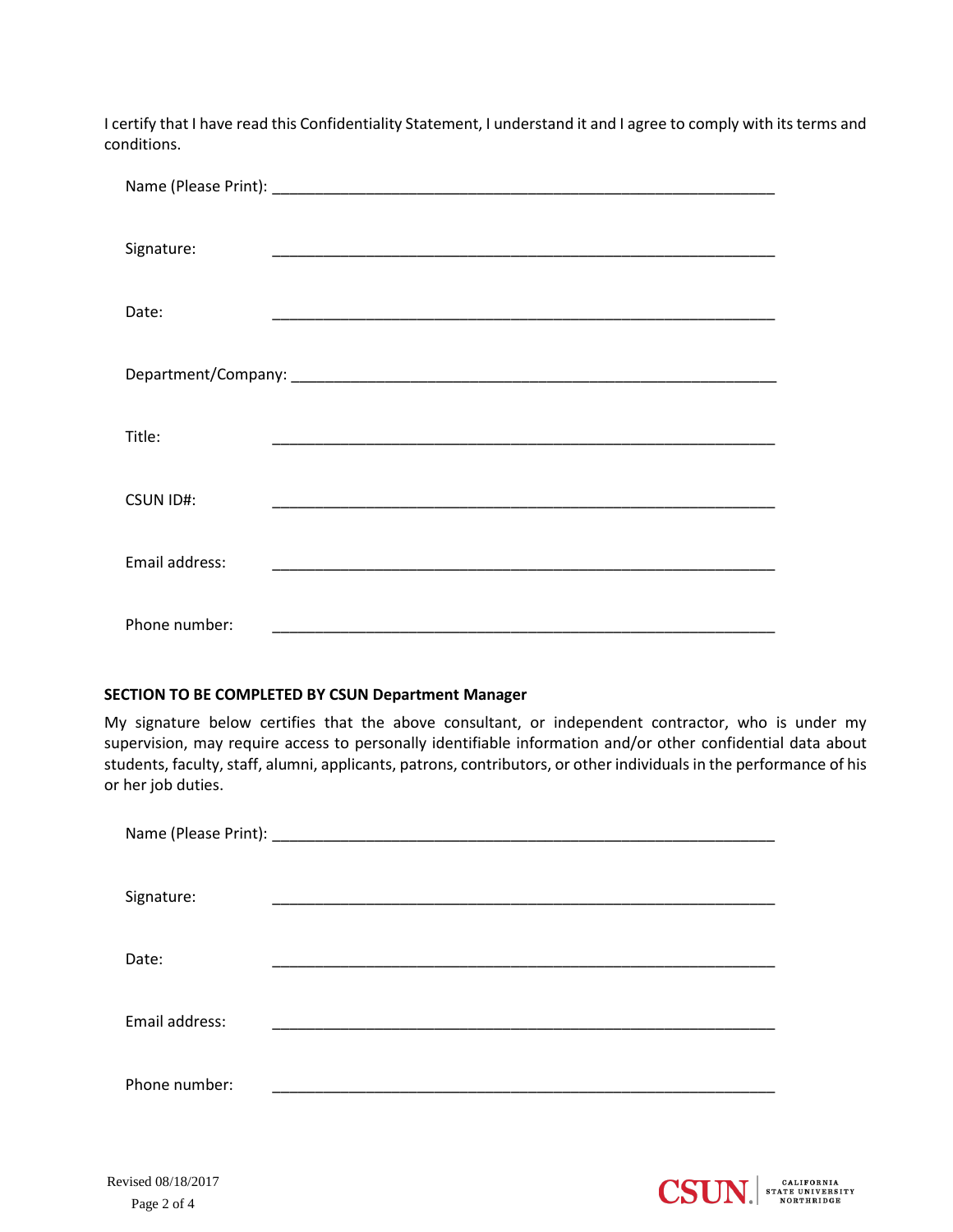I certify that I have read this Confidentiality Statement, I understand it and I agree to comply with its terms and conditions.

| Signature:       | <u> 1990 - Johann John Stone, mars et al. (1990)</u> |
|------------------|------------------------------------------------------|
| Date:            |                                                      |
|                  |                                                      |
| Title:           |                                                      |
| <b>CSUN ID#:</b> |                                                      |
| Email address:   |                                                      |
| Phone number:    |                                                      |

# **SECTION TO BE COMPLETED BY CSUN Department Manager**

My signature below certifies that the above consultant, or independent contractor, who is under my supervision, may require access to personally identifiable information and/or other confidential data about students, faculty, staff, alumni, applicants, patrons, contributors, or other individuals in the performance of his or her job duties.

| Signature:     |  |
|----------------|--|
| Date:          |  |
| Email address: |  |
| Phone number:  |  |

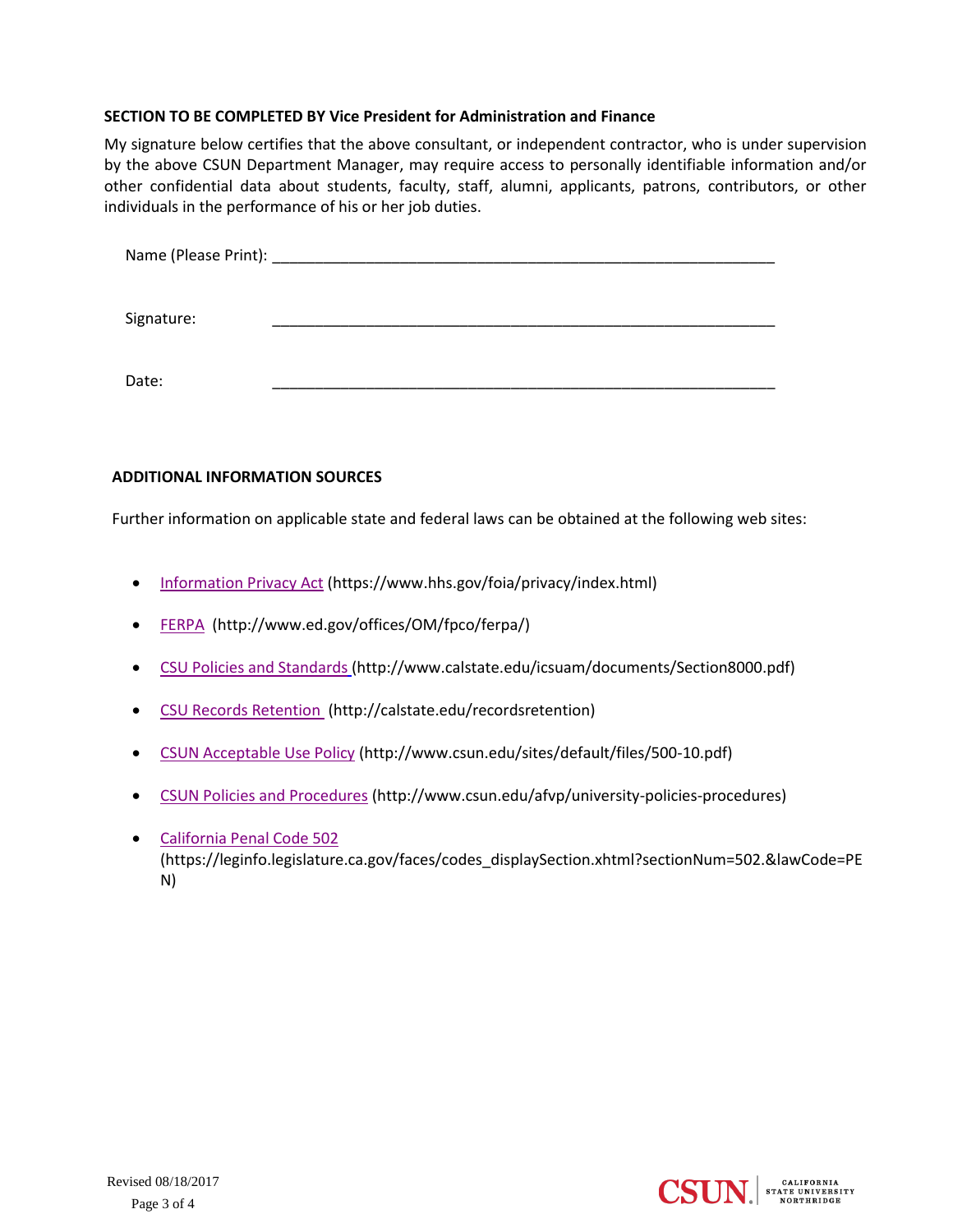# **SECTION TO BE COMPLETED BY Vice President for Administration and Finance**

My signature below certifies that the above consultant, or independent contractor, who is under supervision by the above CSUN Department Manager, may require access to personally identifiable information and/or other confidential data about students, faculty, staff, alumni, applicants, patrons, contributors, or other individuals in the performance of his or her job duties.

Name (Please Print): \_\_\_\_\_\_\_\_\_\_\_\_\_\_\_\_\_\_\_\_\_\_\_\_\_\_\_\_\_\_\_\_\_\_\_\_\_\_\_\_\_\_\_\_\_\_\_\_\_\_\_\_\_\_\_\_\_\_\_

Signature: \_\_\_\_\_\_\_\_\_\_\_\_\_\_\_\_\_\_\_\_\_\_\_\_\_\_\_\_\_\_\_\_\_\_\_\_\_\_\_\_\_\_\_\_\_\_\_\_\_\_\_\_\_\_\_\_\_\_\_

Date: \_\_\_\_\_\_\_\_\_\_\_\_\_\_\_\_\_\_\_\_\_\_\_\_\_\_\_\_\_\_\_\_\_\_\_\_\_\_\_\_\_\_\_\_\_\_\_\_\_\_\_\_\_\_\_\_\_\_\_

# **ADDITIONAL INFORMATION SOURCES**

Further information on applicable state and federal laws can be obtained at the following web sites:

- [Information Privacy Act](https://www.hhs.gov/foia/privacy/index.html) (https://www.hhs.gov/foia/privacy/index.html)
- [FERPA](https://www2.ed.gov/policy/gen/guid/fpco/ferpa/index.html) (http://www.ed.gov/offices/OM/fpco/ferpa/)
- [CSU Policies and Standards](http://www.calstate.edu/icsuam/documents/Section8000.pdf) (http://www.calstate.edu/icsuam/documents/Section8000.pdf)
- [CSU Records Retention](http://www.calstate.edu/recordsretention/) (http://calstate.edu/recordsretention)
- [CSUN Acceptable Use Policy](http://www.csun.edu/sites/default/files/500-10.pdf) (http://www.csun.edu/sites/default/files/500-10.pdf)
- [CSUN Policies and Procedures](http://www.csun.edu/afvp/university-policies-procedures) (http://www.csun.edu/afvp/university-policies-procedures)
- [California Penal Code 502](https://leginfo.legislature.ca.gov/faces/codes_displaySection.xhtml?sectionNum=502.&lawCode=PEN) (https://leginfo.legislature.ca.gov/faces/codes\_displaySection.xhtml?sectionNum=502.&lawCode=PE N)